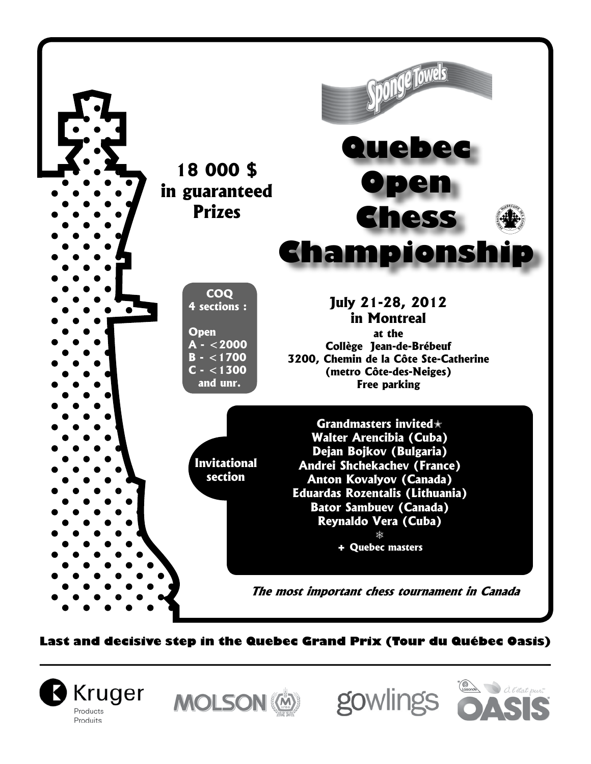

**Last and decisive step in the Quebec Grand Prix (Tour du Québec Oasis)**